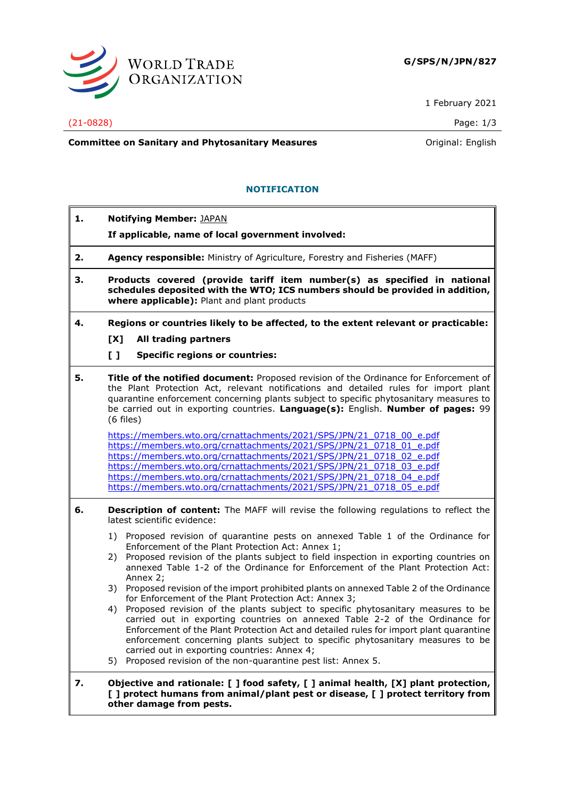

1 February 2021

## (21-0828) Page: 1/3

**Committee on Sanitary and Phytosanitary Measures Committee on Sanitary and Phytosanitary Measures Committee And American** 

# **NOTIFICATION**

- **1. Notifying Member:** JAPAN
	- **If applicable, name of local government involved:**
- **2. Agency responsible:** Ministry of Agriculture, Forestry and Fisheries (MAFF)
- **3. Products covered (provide tariff item number(s) as specified in national schedules deposited with the WTO; ICS numbers should be provided in addition, where applicable):** Plant and plant products
- **4. Regions or countries likely to be affected, to the extent relevant or practicable:**
	- **[X] All trading partners**
	- **[ ] Specific regions or countries:**
- **5. Title of the notified document:** Proposed revision of the Ordinance for Enforcement of the Plant Protection Act, relevant notifications and detailed rules for import plant quarantine enforcement concerning plants subject to specific phytosanitary measures to be carried out in exporting countries. **Language(s):** English. **Number of pages:** 99 (6 files)

[https://members.wto.org/crnattachments/2021/SPS/JPN/21\\_0718\\_00\\_e.pdf](https://members.wto.org/crnattachments/2021/SPS/JPN/21_0718_00_e.pdf) [https://members.wto.org/crnattachments/2021/SPS/JPN/21\\_0718\\_01\\_e.pdf](https://members.wto.org/crnattachments/2021/SPS/JPN/21_0718_01_e.pdf) [https://members.wto.org/crnattachments/2021/SPS/JPN/21\\_0718\\_02\\_e.pdf](https://members.wto.org/crnattachments/2021/SPS/JPN/21_0718_02_e.pdf) [https://members.wto.org/crnattachments/2021/SPS/JPN/21\\_0718\\_03\\_e.pdf](https://members.wto.org/crnattachments/2021/SPS/JPN/21_0718_03_e.pdf) [https://members.wto.org/crnattachments/2021/SPS/JPN/21\\_0718\\_04\\_e.pdf](https://members.wto.org/crnattachments/2021/SPS/JPN/21_0718_04_e.pdf) [https://members.wto.org/crnattachments/2021/SPS/JPN/21\\_0718\\_05\\_e.pdf](https://members.wto.org/crnattachments/2021/SPS/JPN/21_0718_05_e.pdf)

- **6. Description of content:** The MAFF will revise the following regulations to reflect the latest scientific evidence:
	- 1) Proposed revision of quarantine pests on annexed Table 1 of the Ordinance for Enforcement of the Plant Protection Act: Annex 1;
	- 2) Proposed revision of the plants subject to field inspection in exporting countries on annexed Table 1-2 of the Ordinance for Enforcement of the Plant Protection Act: Annex 2;
	- 3) Proposed revision of the import prohibited plants on annexed Table 2 of the Ordinance for Enforcement of the Plant Protection Act: Annex 3;
	- 4) Proposed revision of the plants subject to specific phytosanitary measures to be carried out in exporting countries on annexed Table 2-2 of the Ordinance for Enforcement of the Plant Protection Act and detailed rules for import plant quarantine enforcement concerning plants subject to specific phytosanitary measures to be carried out in exporting countries: Annex 4;
	- 5) Proposed revision of the non-quarantine pest list: Annex 5.
- **7. Objective and rationale: [ ] food safety, [ ] animal health, [X] plant protection, [ ] protect humans from animal/plant pest or disease, [ ] protect territory from other damage from pests.**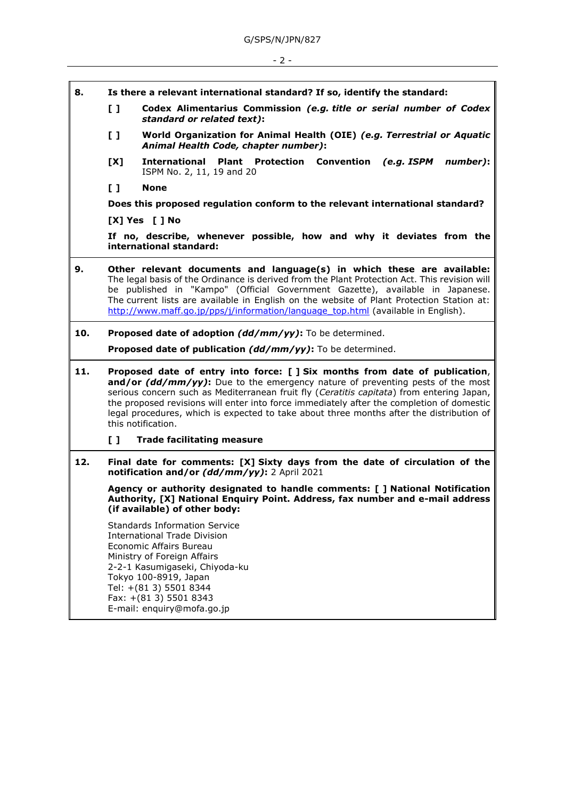- **8. Is there a relevant international standard? If so, identify the standard:**
	- **[ ] Codex Alimentarius Commission** *(e.g. title or serial number of Codex standard or related text)***:**
	- **[ ] World Organization for Animal Health (OIE)** *(e.g. Terrestrial or Aquatic Animal Health Code, chapter number)***:**
	- **[X] International Plant Protection Convention** *(e.g. ISPM number)***:** ISPM No. 2, 11, 19 and 20
	- **[ ] None**

**Does this proposed regulation conform to the relevant international standard?** 

**[X] Yes [ ] No**

**If no, describe, whenever possible, how and why it deviates from the international standard:**

- **9. Other relevant documents and language(s) in which these are available:** The legal basis of the Ordinance is derived from the Plant Protection Act. This revision will be published in "Kampo" (Official Government Gazette), available in Japanese. The current lists are available in English on the website of Plant Protection Station at: [http://www.maff.go.jp/pps/j/information/language\\_top.html](http://www.maff.go.jp/pps/j/information/language_top.html) (available in English).
- **10. Proposed date of adoption** *(dd/mm/yy)***:** To be determined.

**Proposed date of publication** *(dd/mm/yy)***:** To be determined.

- **11. Proposed date of entry into force: [ ] Six months from date of publication**, **and/or** *(dd/mm/yy)***:** Due to the emergency nature of preventing pests of the most serious concern such as Mediterranean fruit fly (*Ceratitis capitata*) from entering Japan, the proposed revisions will enter into force immediately after the completion of domestic legal procedures, which is expected to take about three months after the distribution of this notification.
	- **[ ] Trade facilitating measure**
- **12. Final date for comments: [X] Sixty days from the date of circulation of the notification and/or** *(dd/mm/yy)***:** 2 April 2021

**Agency or authority designated to handle comments: [ ] National Notification Authority, [X] National Enquiry Point. Address, fax number and e-mail address (if available) of other body:**

Standards Information Service International Trade Division Economic Affairs Bureau Ministry of Foreign Affairs 2-2-1 Kasumigaseki, Chiyoda-ku Tokyo 100-8919, Japan Tel: +(81 3) 5501 8344 Fax: +(81 3) 5501 8343 E-mail: enquiry@mofa.go.jp